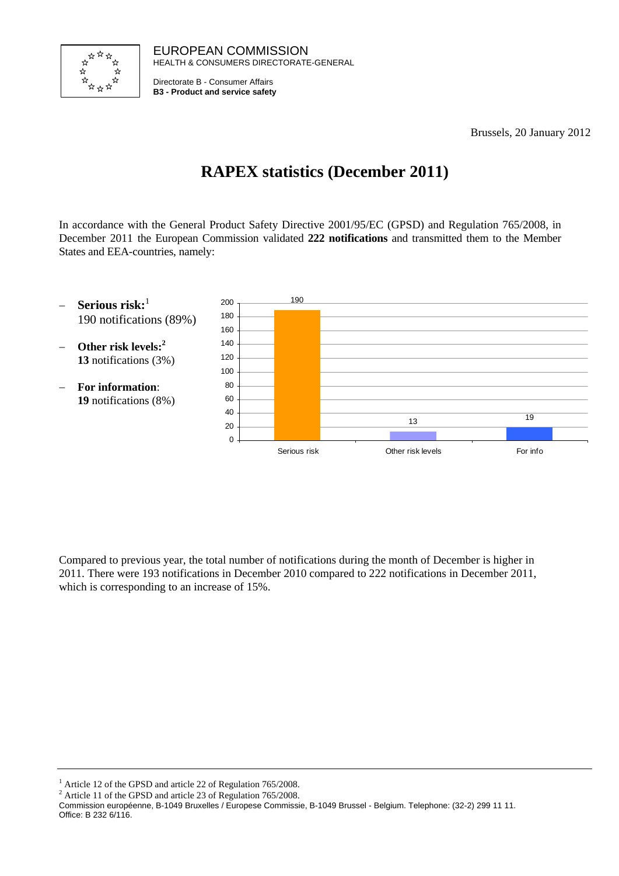

EUROPEAN COMMISSION HEALTH & CONSUMERS DIRECTORATE-GENERAL

Directorate B - Consumer Affairs **B3 - Product and service safety**

Brussels, 20 January 2012

# **RAPEX statistics (December 2011)**

In accordance with the General Product Safety Directive 2001/95/EC (GPSD) and Regulation 765/2008, in December 2011 the European Commission validated **222 notifications** and transmitted them to the Member States and EEA-countries, namely:



Compared to previous year, the total number of notifications during the month of December is higher in 2011. There were 193 notifications in December 2010 compared to 222 notifications in December 2011, which is corresponding to an increase of 15%.

<sup>1</sup> Article 12 of the GPSD and article 22 of Regulation 765/2008.

<sup>2</sup> Article 11 of the GPSD and article 23 of Regulation 765/2008.

Commission européenne, B-1049 Bruxelles / Europese Commissie, B-1049 Brussel - Belgium. Telephone: (32-2) 299 11 11. Office: B 232 6/116.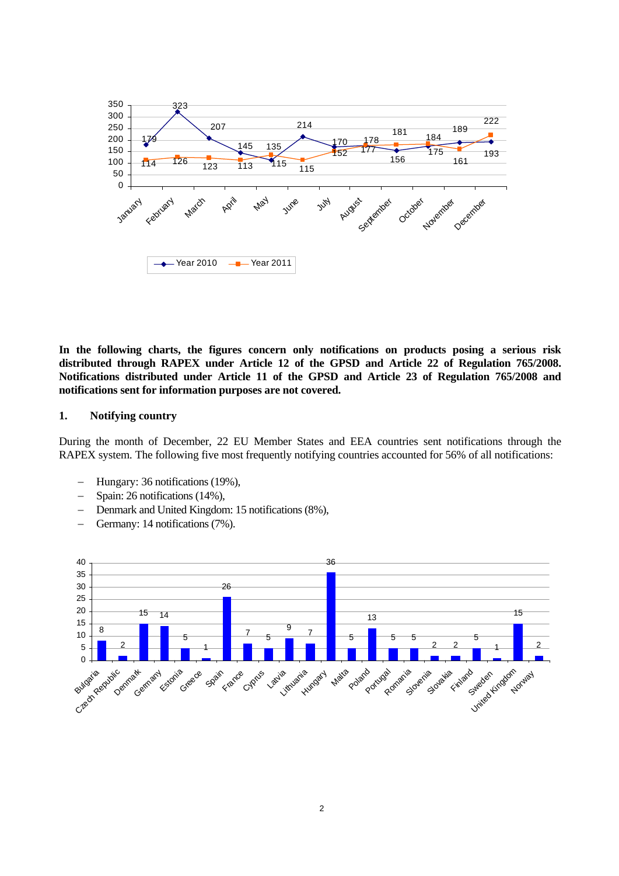

**In the following charts, the figures concern only notifications on products posing a serious risk distributed through RAPEX under Article 12 of the GPSD and Article 22 of Regulation 765/2008. Notifications distributed under Article 11 of the GPSD and Article 23 of Regulation 765/2008 and notifications sent for information purposes are not covered.** 

#### **1. Notifying country**

During the month of December, 22 EU Member States and EEA countries sent notifications through the RAPEX system. The following five most frequently notifying countries accounted for 56% of all notifications:

- − Hungary: 36 notifications (19%),
- − Spain: 26 notifications (14%),
- − Denmark and United Kingdom: 15 notifications (8%),
- − Germany: 14 notifications (7%).

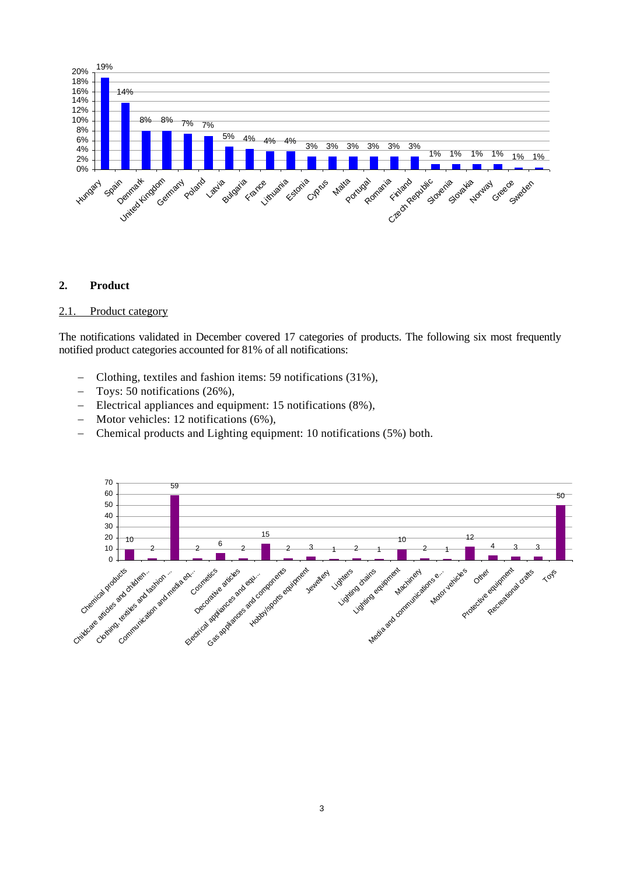

## **2. Product**

#### 2.1. Product category

The notifications validated in December covered 17 categories of products. The following six most frequently notified product categories accounted for 81% of all notifications:

- − Clothing, textiles and fashion items: 59 notifications (31%),
- − Toys: 50 notifications (26%),
- − Electrical appliances and equipment: 15 notifications (8%),
- − Motor vehicles: 12 notifications (6%),
- − Chemical products and Lighting equipment: 10 notifications (5%) both.

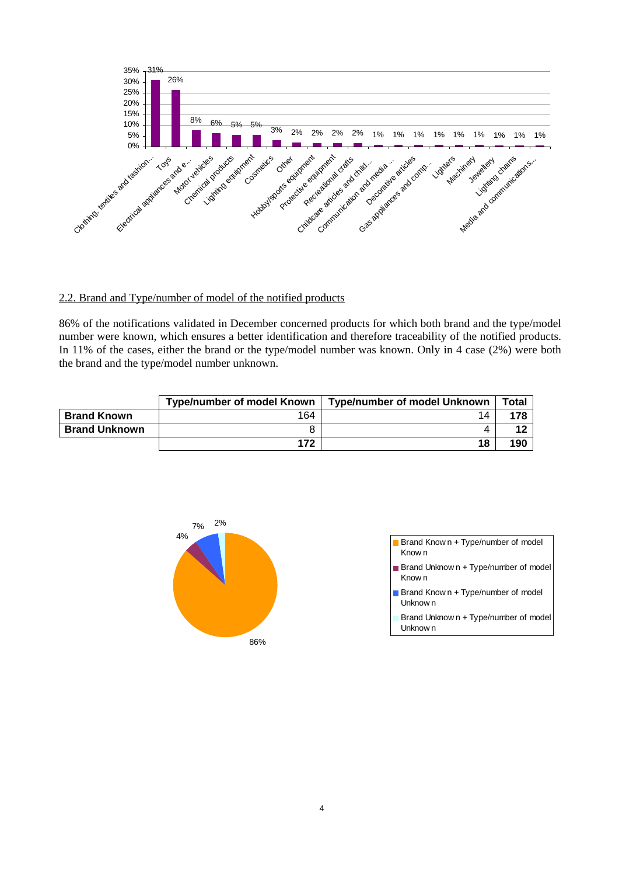

## 2.2. Brand and Type/number of model of the notified products

86% of the notifications validated in December concerned products for which both brand and the type/model number were known, which ensures a better identification and therefore traceability of the notified products. In 11% of the cases, either the brand or the type/model number was known. Only in 4 case (2%) were both the brand and the type/model number unknown.

|                      | <b>Type/number of model Known</b> | Type/number of model Unknown | <b>Total</b> |
|----------------------|-----------------------------------|------------------------------|--------------|
| <b>Brand Known</b>   | 164                               | 14                           | 178          |
| <b>Brand Unknown</b> |                                   |                              |              |
|                      | 172                               | 18                           | <b>190</b>   |



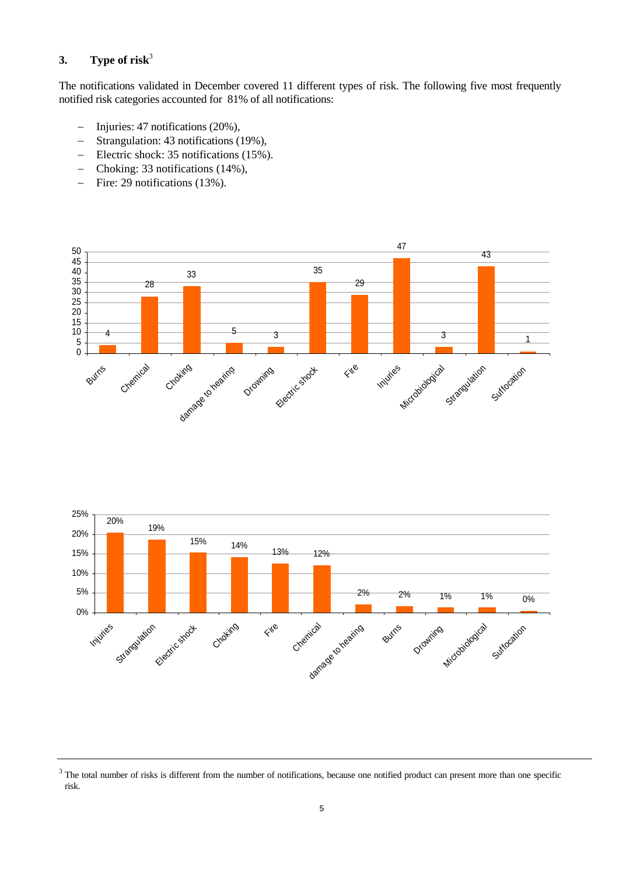# **3. Type of risk**<sup>3</sup>

The notifications validated in December covered 11 different types of risk. The following five most frequently notified risk categories accounted for 81% of all notifications:

- − Injuries: 47 notifications (20%),
- − Strangulation: 43 notifications (19%),
- − Electric shock: 35 notifications (15%).
- − Choking: 33 notifications (14%),
- − Fire: 29 notifications (13%).





<sup>&</sup>lt;sup>3</sup> The total number of risks is different from the number of notifications, because one notified product can present more than one specific risk.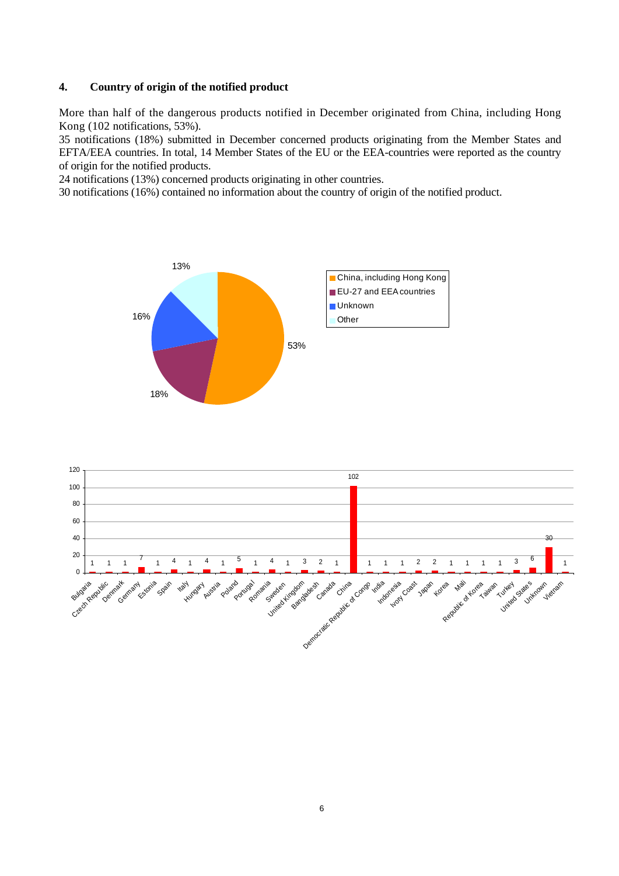# **4. Country of origin of the notified product**

More than half of the dangerous products notified in December originated from China, including Hong Kong (102 notifications, 53%).

35 notifications (18%) submitted in December concerned products originating from the Member States and EFTA/EEA countries. In total, 14 Member States of the EU or the EEA-countries were reported as the country of origin for the notified products.

24 notifications (13%) concerned products originating in other countries.

30 notifications (16%) contained no information about the country of origin of the notified product.



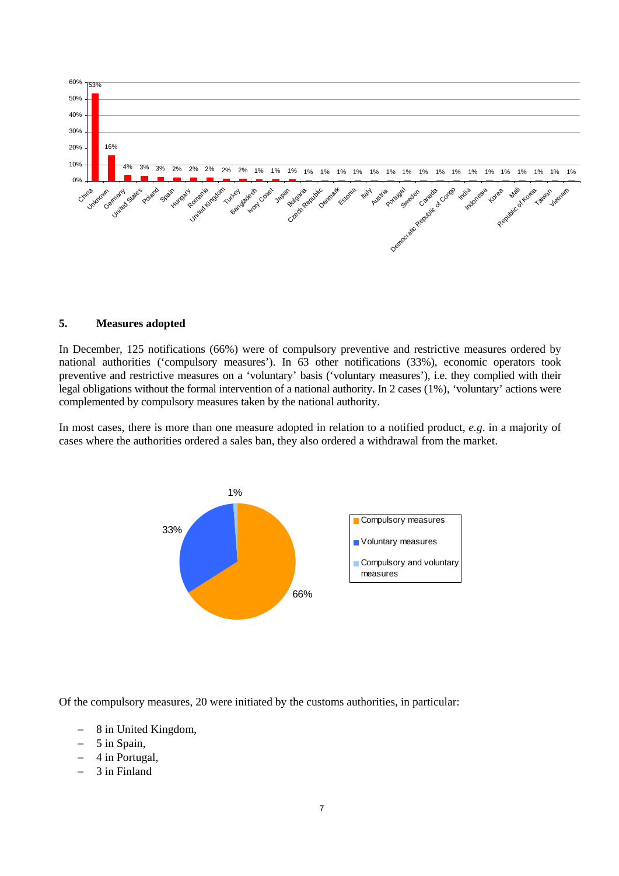

#### **5. Measures adopted**

In December, 125 notifications (66%) were of compulsory preventive and restrictive measures ordered by national authorities ('compulsory measures'). In 63 other notifications (33%), economic operators took preventive and restrictive measures on a 'voluntary' basis ('voluntary measures'), i.e. they complied with their legal obligations without the formal intervention of a national authority. In 2 cases (1%), 'voluntary' actions were complemented by compulsory measures taken by the national authority.

In most cases, there is more than one measure adopted in relation to a notified product, *e.g*. in a majority of cases where the authorities ordered a sales ban, they also ordered a withdrawal from the market.



Of the compulsory measures, 20 were initiated by the customs authorities, in particular:

- − 8 in United Kingdom,
- − 5 in Spain,
- − 4 in Portugal,
- − 3 in Finland